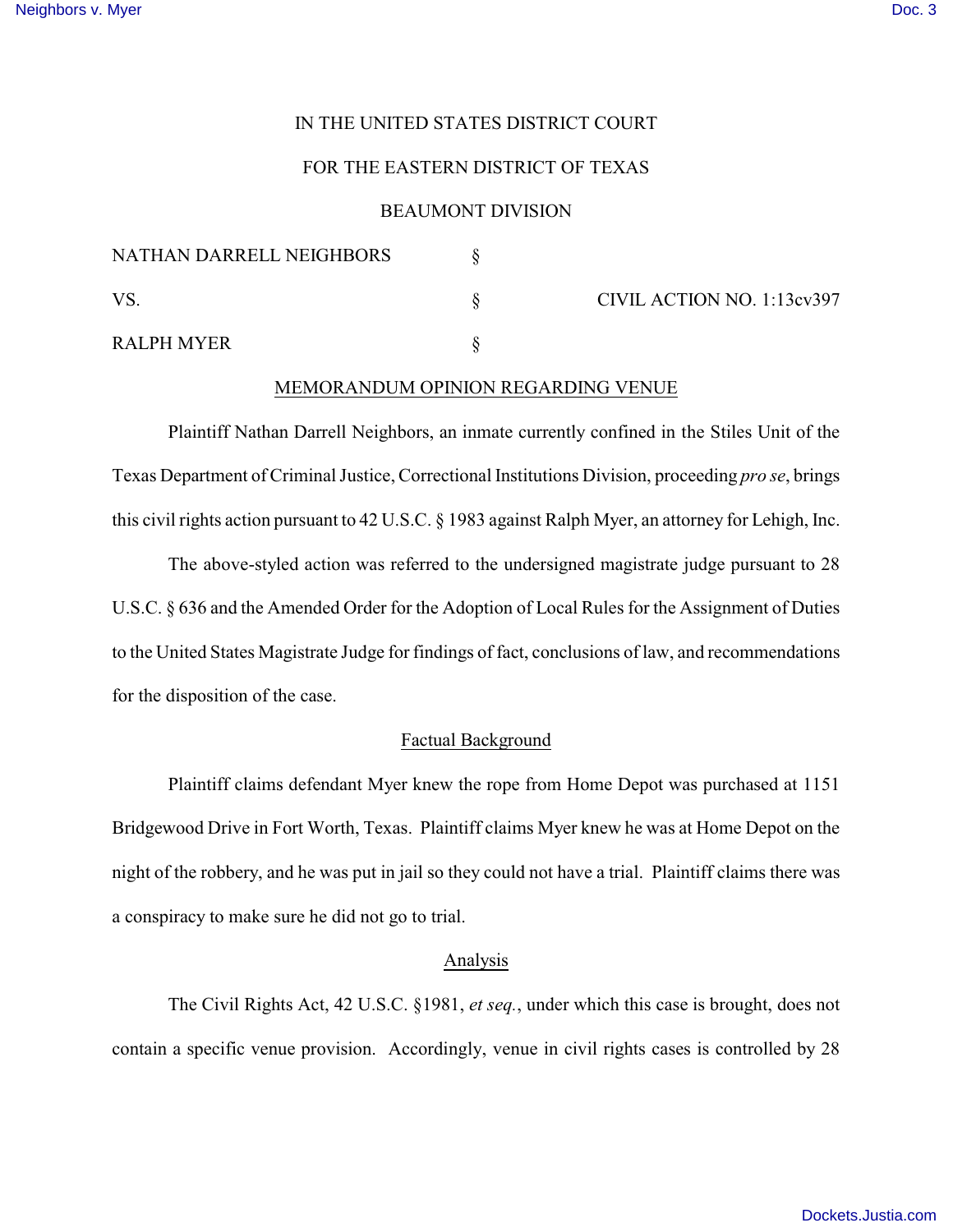# IN THE UNITED STATES DISTRICT COURT

# FOR THE EASTERN DISTRICT OF TEXAS

## BEAUMONT DIVISION

| NATHAN DARRELL NEIGHBORS |                            |
|--------------------------|----------------------------|
| VS.                      | CIVIL ACTION NO. 1:13cv397 |
| RALPH MYER               |                            |

### MEMORANDUM OPINION REGARDING VENUE

Plaintiff Nathan Darrell Neighbors, an inmate currently confined in the Stiles Unit of the Texas Department of Criminal Justice, Correctional Institutions Division, proceeding *pro se*, brings this civil rights action pursuant to 42 U.S.C. § 1983 against Ralph Myer, an attorney for Lehigh, Inc.

The above-styled action was referred to the undersigned magistrate judge pursuant to 28 U.S.C. § 636 and the Amended Order for the Adoption of Local Rules for the Assignment of Duties to the United States Magistrate Judge for findings of fact, conclusions of law, and recommendations for the disposition of the case.

## Factual Background

Plaintiff claims defendant Myer knew the rope from Home Depot was purchased at 1151 Bridgewood Drive in Fort Worth, Texas. Plaintiff claims Myer knew he was at Home Depot on the night of the robbery, and he was put in jail so they could not have a trial. Plaintiff claims there was a conspiracy to make sure he did not go to trial.

#### Analysis

The Civil Rights Act, 42 U.S.C. §1981, *et seq.*, under which this case is brought, does not contain a specific venue provision. Accordingly, venue in civil rights cases is controlled by 28